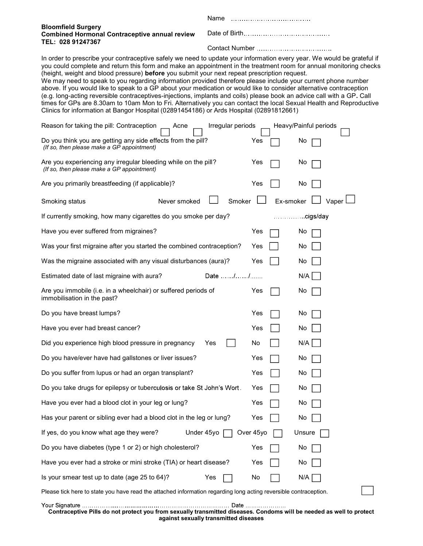| <b>Bloomfield Surgery</b><br><b>Combined Hormonal Contraceptive annual review</b><br>TEL: 028 91247367 |  |  |  |
|--------------------------------------------------------------------------------------------------------|--|--|--|
|                                                                                                        |  |  |  |

 In order to prescribe your contraceptive safely we need to update your information every year. We would be grateful if you could complete and return this form and make an appointment in the treatment room for annual monitoring checks (height, weight and blood pressure) before you submit your next repeat prescription request.

 We may need to speak to you regarding information provided therefore please include your current phone number above. If you would like to speak to a GP about your medication or would like to consider alternative contraception (e.g. long-acting reversible contraceptives-injections, implants and coils) please book an advice call with a GP. Call times for GPs are 8.30am to 10am Mon to Fri. Alternatively you can contact the local Sexual Health and Reproductive Clinics for information at Bangor Hospital (02891454186) or Ards Hospital (02891812661)

| Irregular periods<br>Heavy/Painful periods<br>Reason for taking the pill: Contraception<br>Acne              |              |                     |          |  |  |  |
|--------------------------------------------------------------------------------------------------------------|--------------|---------------------|----------|--|--|--|
| Do you think you are getting any side effects from the pill?<br>(If so, then please make a GP appointment)   |              | Yes                 | No       |  |  |  |
| Are you experiencing any irregular bleeding while on the pill?<br>(If so, then please make a GP appointment) |              | Yes                 | No       |  |  |  |
| Are you primarily breastfeeding (if applicable)?                                                             |              | Yes                 | No       |  |  |  |
| Smoking status                                                                                               | Never smoked | Ex-smoker<br>Smoker | Vaper    |  |  |  |
| If currently smoking, how many cigarettes do you smoke per day?                                              |              |                     | cigs/day |  |  |  |
| Have you ever suffered from migraines?                                                                       |              | Yes                 | No       |  |  |  |
| Was your first migraine after you started the combined contraception?                                        |              | Yes                 | No       |  |  |  |
| Was the migraine associated with any visual disturbances (aura)?                                             |              | Yes                 | No       |  |  |  |
| Estimated date of last migraine with aura?                                                                   | Date //      |                     | N/A      |  |  |  |
| Are you immobile (i.e. in a wheelchair) or suffered periods of<br>immobilisation in the past?                |              | Yes                 | No.      |  |  |  |
| Do you have breast lumps?                                                                                    |              | Yes                 | No       |  |  |  |
| Have you ever had breast cancer?                                                                             |              | Yes                 | No       |  |  |  |
| Did you experience high blood pressure in pregnancy                                                          | Yes          | No                  | N/A      |  |  |  |
| Do you have/ever have had gallstones or liver issues?                                                        |              | Yes                 | No       |  |  |  |
| Do you suffer from lupus or had an organ transplant?                                                         |              | Yes                 | No       |  |  |  |
| Do you take drugs for epilepsy or tuberculosis or take St John's Wort.                                       |              | Yes                 | No       |  |  |  |
| Have you ever had a blood clot in your leg or lung?                                                          |              | Yes                 | No       |  |  |  |
| Has your parent or sibling ever had a blood clot in the leg or lung?                                         |              | Yes                 | No       |  |  |  |
| If yes, do you know what age they were?                                                                      | Under 45yo   | Over 45yo           | Unsure   |  |  |  |
| Do you have diabetes (type 1 or 2) or high cholesterol?                                                      |              | Yes                 | No       |  |  |  |
| Have you ever had a stroke or mini stroke (TIA) or heart disease?                                            |              | Yes                 | No       |  |  |  |
| Is your smear test up to date (age 25 to 64)?                                                                | Yes          | No                  | N/A      |  |  |  |
|                                                                                                              |              |                     |          |  |  |  |

Please tick here to state you have read the attached information regarding long acting reversible contraception.

 Contraceptive Pills do not protect you from sexually transmitted diseases. Condoms will be needed as well to protect against sexually transmitted diseases